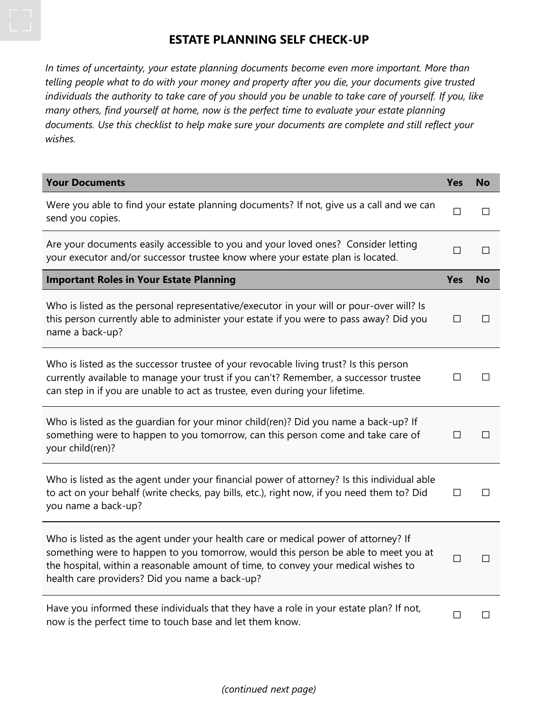## **ESTATE PLANNING SELF CHECK-UP**

*In times of uncertainty, your estate planning documents become even more important. More than telling people what to do with your money and property after you die, your documents give trusted individuals the authority to take care of you should you be unable to take care of yourself. If you, like many others, find yourself at home, now is the perfect time to evaluate your estate planning documents. Use this checklist to help make sure your documents are complete and still reflect your wishes.* 

| <b>Your Documents</b>                                                                                                                                                                                                                                                                                            | <b>Yes</b> | <b>No</b>    |
|------------------------------------------------------------------------------------------------------------------------------------------------------------------------------------------------------------------------------------------------------------------------------------------------------------------|------------|--------------|
| Were you able to find your estate planning documents? If not, give us a call and we can<br>send you copies.                                                                                                                                                                                                      | □          | П            |
| Are your documents easily accessible to you and your loved ones? Consider letting<br>your executor and/or successor trustee know where your estate plan is located.                                                                                                                                              | $\Box$     | П            |
| <b>Important Roles in Your Estate Planning</b>                                                                                                                                                                                                                                                                   | <b>Yes</b> | <b>No</b>    |
| Who is listed as the personal representative/executor in your will or pour-over will? Is<br>this person currently able to administer your estate if you were to pass away? Did you<br>name a back-up?                                                                                                            | □          | П            |
| Who is listed as the successor trustee of your revocable living trust? Is this person<br>currently available to manage your trust if you can't? Remember, a successor trustee<br>can step in if you are unable to act as trustee, even during your lifetime.                                                     | □          | П            |
| Who is listed as the guardian for your minor child(ren)? Did you name a back-up? If<br>something were to happen to you tomorrow, can this person come and take care of<br>your child(ren)?                                                                                                                       | □          | $\mathsf{L}$ |
| Who is listed as the agent under your financial power of attorney? Is this individual able<br>to act on your behalf (write checks, pay bills, etc.), right now, if you need them to? Did<br>you name a back-up?                                                                                                  | □          |              |
| Who is listed as the agent under your health care or medical power of attorney? If<br>something were to happen to you tomorrow, would this person be able to meet you at<br>the hospital, within a reasonable amount of time, to convey your medical wishes to<br>health care providers? Did you name a back-up? | $\Box$     | ΙI           |
| Have you informed these individuals that they have a role in your estate plan? If not,<br>now is the perfect time to touch base and let them know.                                                                                                                                                               | П          |              |